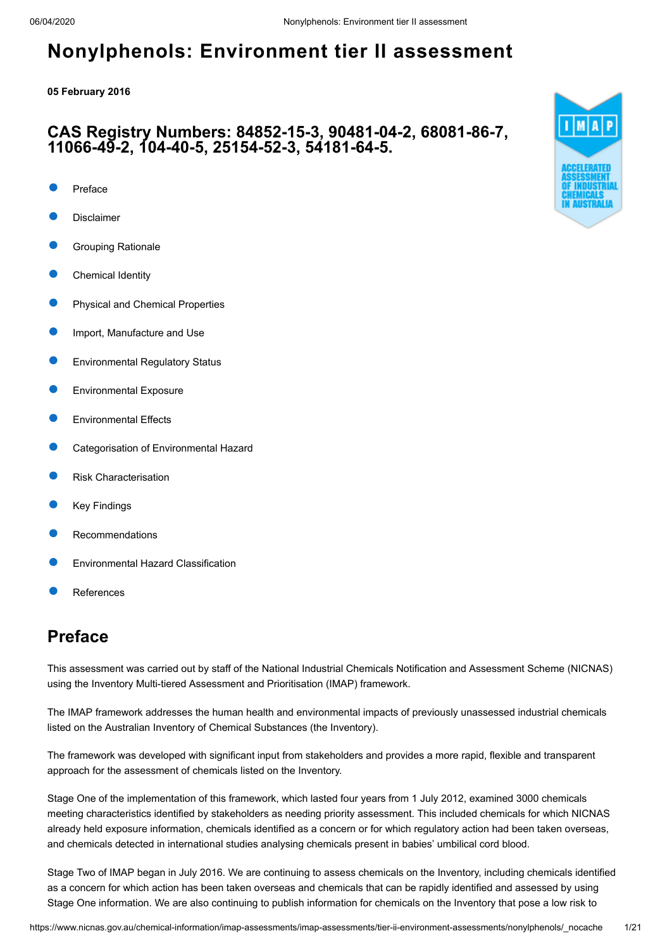### **05 February 2016**

### **CAS Registry Numbers: 84852-15-3, 90481-04-2, 68081-86-7, 11066-49-2, 104-40-5, 25154-52-3, 54181-64-5.**

- [Preface](#page-0-0)
- [Disclaimer](#page-1-0)
- [Grouping Rationale](#page-1-1)
- [Chemical Identity](#page-1-2)
- [Physical and Chemical Properties](#page-8-0)
- [Import, Manufacture and Use](#page-8-1)
- [Environmental Regulatory Status](#page-9-0)
- [Environmental Exposure](#page-10-0)
- [Environmental Effects](#page-12-0)
- [Categorisation of Environmental Hazard](#page-16-0)
- [Risk Characterisation](#page-16-1)
- [Key Findings](#page-17-0)
- [Recommendations](#page-17-1)
- [Environmental Hazard Classification](#page-17-2)
- [References](#page-18-0)

# <span id="page-0-0"></span>**Preface**

This assessment was carried out by staff of the National Industrial Chemicals Notification and Assessment Scheme (NICNAS) using the Inventory Multi-tiered Assessment and Prioritisation (IMAP) framework.

The IMAP framework addresses the human health and environmental impacts of previously unassessed industrial chemicals listed on the Australian Inventory of Chemical Substances (the Inventory).

The framework was developed with significant input from stakeholders and provides a more rapid, flexible and transparent approach for the assessment of chemicals listed on the Inventory.

Stage One of the implementation of this framework, which lasted four years from 1 July 2012, examined 3000 chemicals meeting characteristics identified by stakeholders as needing priority assessment. This included chemicals for which NICNAS already held exposure information, chemicals identified as a concern or for which regulatory action had been taken overseas, and chemicals detected in international studies analysing chemicals present in babies' umbilical cord blood.

Stage Two of IMAP began in July 2016. We are continuing to assess chemicals on the Inventory, including chemicals identified as a concern for which action has been taken overseas and chemicals that can be rapidly identified and assessed by using Stage One information. We are also continuing to publish information for chemicals on the Inventory that pose a low risk to

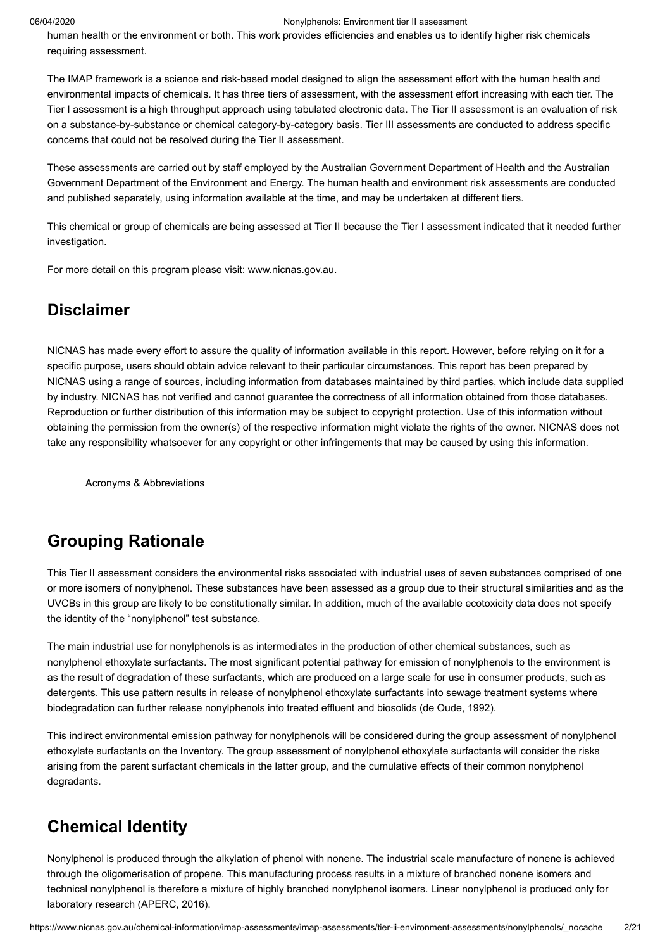human health or the environment or both. This work provides efficiencies and enables us to identify higher risk chemicals requiring assessment.

The IMAP framework is a science and risk-based model designed to align the assessment effort with the human health and environmental impacts of chemicals. It has three tiers of assessment, with the assessment effort increasing with each tier. The Tier I assessment is a high throughput approach using tabulated electronic data. The Tier II assessment is an evaluation of risk on a substance-by-substance or chemical category-by-category basis. Tier III assessments are conducted to address specific concerns that could not be resolved during the Tier II assessment.

These assessments are carried out by staff employed by the Australian Government Department of Health and the Australian Government Department of the Environment and Energy. The human health and environment risk assessments are conducted and published separately, using information available at the time, and may be undertaken at different tiers.

This chemical or group of chemicals are being assessed at Tier II because the Tier I assessment indicated that it needed further investigation.

For more detail on this program please visit: [www.nicnas.gov.au](https://www.nicnas.gov.au/).

### <span id="page-1-0"></span>**Disclaimer**

NICNAS has made every effort to assure the quality of information available in this report. However, before relying on it for a specific purpose, users should obtain advice relevant to their particular circumstances. This report has been prepared by NICNAS using a range of sources, including information from databases maintained by third parties, which include data supplied by industry. NICNAS has not verified and cannot guarantee the correctness of all information obtained from those databases. Reproduction or further distribution of this information may be subject to copyright protection. Use of this information without obtaining the permission from the owner(s) of the respective information might violate the rights of the owner. NICNAS does not take any responsibility whatsoever for any copyright or other infringements that may be caused by using this information.

[Acronyms & Abbreviations](http://www.nicnas.gov.au/chemical-information/imap-assessments/acronyms-and-abbreviations)

# <span id="page-1-1"></span>**Grouping Rationale**

This Tier II assessment considers the environmental risks associated with industrial uses of seven substances comprised of one or more isomers of nonylphenol. These substances have been assessed as a group due to their structural similarities and as the UVCBs in this group are likely to be constitutionally similar. In addition, much of the available ecotoxicity data does not specify the identity of the "nonylphenol" test substance.

The main industrial use for nonylphenols is as intermediates in the production of other chemical substances, such as nonylphenol ethoxylate surfactants. The most significant potential pathway for emission of nonylphenols to the environment is as the result of degradation of these surfactants, which are produced on a large scale for use in consumer products, such as detergents. This use pattern results in release of nonylphenol ethoxylate surfactants into sewage treatment systems where biodegradation can further release nonylphenols into treated effluent and biosolids [\(de Oude, 1992](#page-18-1)).

This indirect environmental emission pathway for nonylphenols will be considered during the group assessment of nonylphenol ethoxylate surfactants on the Inventory. The group assessment of nonylphenol ethoxylate surfactants will consider the risks arising from the parent surfactant chemicals in the latter group, and the cumulative effects of their common nonylphenol degradants.

## <span id="page-1-2"></span>**Chemical Identity**

Nonylphenol is produced through the alkylation of phenol with nonene. The industrial scale manufacture of nonene is achieved through the oligomerisation of propene. This manufacturing process results in a mixture of branched nonene isomers and technical nonylphenol is therefore a mixture of highly branched nonylphenol isomers. Linear nonylphenol is produced only for laboratory research [\(APERC, 2016](#page-18-2)).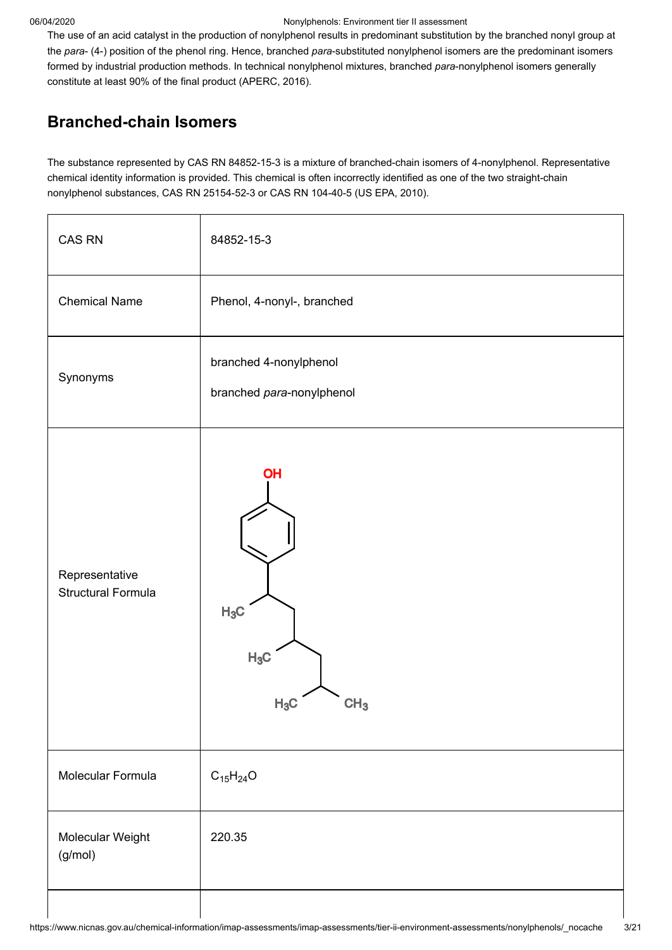The use of an acid catalyst in the production of nonylphenol results in predominant substitution by the branched nonyl group at the *para*- (4-) position of the phenol ring. Hence, branched *para*-substituted nonylphenol isomers are the predominant isomers formed by industrial production methods. In technical nonylphenol mixtures, branched *para*-nonylphenol isomers generally constitute at least 90% of the final product ([APERC, 2016\)](#page-18-2).

# **Branched-chain Isomers**

The substance represented by CAS RN 84852-15-3 is a mixture of branched-chain isomers of 4-nonylphenol. Representative chemical identity information is provided. This chemical is often incorrectly identified as one of the two straight-chain nonylphenol substances, CAS RN 25154-52-3 or CAS RN 104-40-5 [\(US EPA, 2010](#page-20-0)).

| CAS RN                                      | 84852-15-3                                          |
|---------------------------------------------|-----------------------------------------------------|
| <b>Chemical Name</b>                        | Phenol, 4-nonyl-, branched                          |
| Synonyms                                    | branched 4-nonylphenol<br>branched para-nonylphenol |
| Representative<br><b>Structural Formula</b> | OH<br>$H_3C$<br>$H_3C$<br>$H_3C$<br>CH <sub>3</sub> |
| Molecular Formula                           | $C_{15}H_{24}O$                                     |
| Molecular Weight<br>(g/mol)                 | 220.35                                              |
|                                             |                                                     |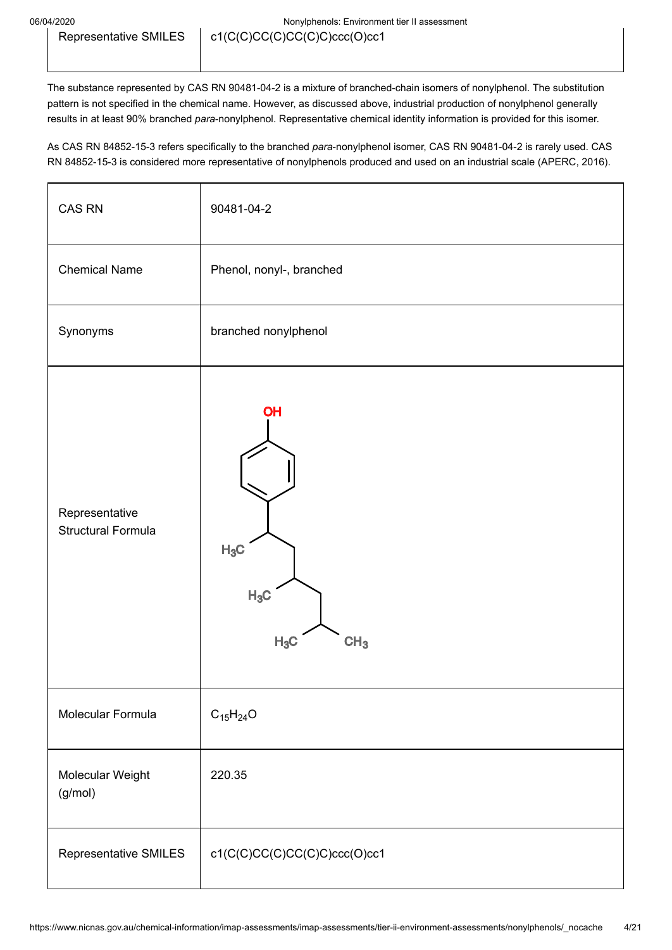The substance represented by CAS RN 90481-04-2 is a mixture of branched-chain isomers of nonylphenol. The substitution pattern is not specified in the chemical name. However, as discussed above, industrial production of nonylphenol generally results in at least 90% branched *para*-nonylphenol. Representative chemical identity information is provided for this isomer.

As CAS RN 84852-15-3 refers specifically to the branched *para*-nonylphenol isomer, CAS RN 90481-04-2 is rarely used. CAS RN 84852-15-3 is considered more representative of nonylphenols produced and used on an industrial scale [\(APERC, 2016\)](#page-18-2).

| <b>CAS RN</b>                               | 90481-04-2                                          |
|---------------------------------------------|-----------------------------------------------------|
| <b>Chemical Name</b>                        | Phenol, nonyl-, branched                            |
| Synonyms                                    | branched nonylphenol                                |
| Representative<br><b>Structural Formula</b> | OH<br>$H_3C$<br>$H_3C$<br>$H_3C$<br>CH <sub>3</sub> |
| Molecular Formula                           | $C_{15}H_{24}O$                                     |
| Molecular Weight<br>(g/mol)                 | 220.35                                              |
| Representative SMILES                       | c1(C(C)CC(C)CC(C)C)ccc(O)cc1                        |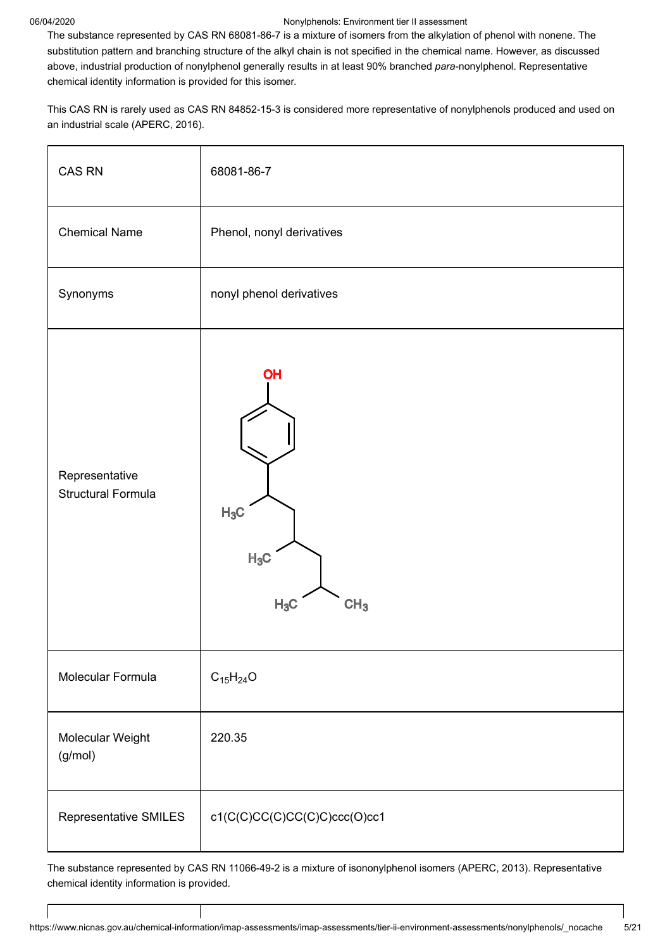The substance represented by CAS RN 68081-86-7 is a mixture of isomers from the alkylation of phenol with nonene. The substitution pattern and branching structure of the alkyl chain is not specified in the chemical name. However, as discussed above, industrial production of nonylphenol generally results in at least 90% branched *para*-nonylphenol. Representative chemical identity information is provided for this isomer.

This CAS RN is rarely used as CAS RN 84852-15-3 is considered more representative of nonylphenols produced and used on an industrial scale [\(APERC, 2016\)](#page-18-2).

| CAS RN                                      | 68081-86-7                                                 |
|---------------------------------------------|------------------------------------------------------------|
| <b>Chemical Name</b>                        | Phenol, nonyl derivatives                                  |
| Synonyms                                    | nonyl phenol derivatives                                   |
| Representative<br><b>Structural Formula</b> | <b>OH</b><br>$H_3C$<br>$H_3C$<br>$H_3C$<br>CH <sub>3</sub> |
| Molecular Formula                           | $C_{15}H_{24}O$                                            |
| Molecular Weight<br>(g/mol)                 | 220.35                                                     |
| Representative SMILES                       | c1(C(C)CC(C)CC(C)C)ccc(O)cc1                               |

The substance represented by CAS RN 11066-49-2 is a mixture of isononylphenol isomers ([APERC, 2013](#page-18-3)). Representative chemical identity information is provided.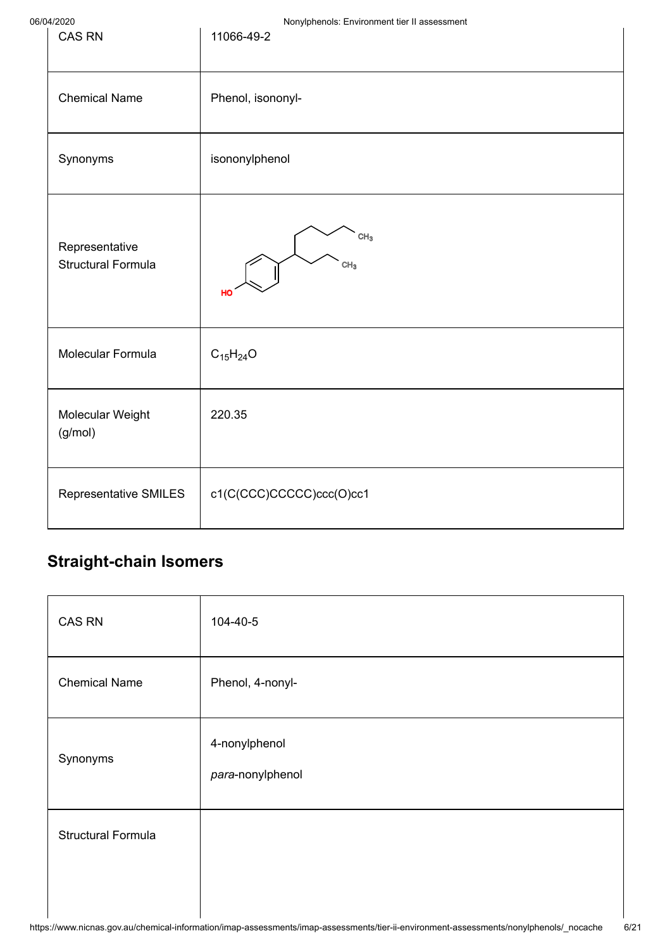| <b>CAS RN</b>                               | <b>Terry</b> priorioid: Environment don't accessoment<br>11066-49-2 |
|---------------------------------------------|---------------------------------------------------------------------|
| <b>Chemical Name</b>                        | Phenol, isononyl-                                                   |
| Synonyms                                    | isononylphenol                                                      |
| Representative<br><b>Structural Formula</b> | CH <sub>3</sub><br>CH <sub>3</sub><br>HO                            |
| Molecular Formula                           | $C_{15}H_{24}O$                                                     |
| Molecular Weight<br>(g/mol)                 | 220.35                                                              |
| Representative SMILES                       | c1(C(CCC)CCCCC)ccc(O)cc1                                            |

# **Straight-chain Isomers**

| CAS RN                    | 104-40-5                          |
|---------------------------|-----------------------------------|
| <b>Chemical Name</b>      | Phenol, 4-nonyl-                  |
| Synonyms                  | 4-nonylphenol<br>para-nonylphenol |
| <b>Structural Formula</b> |                                   |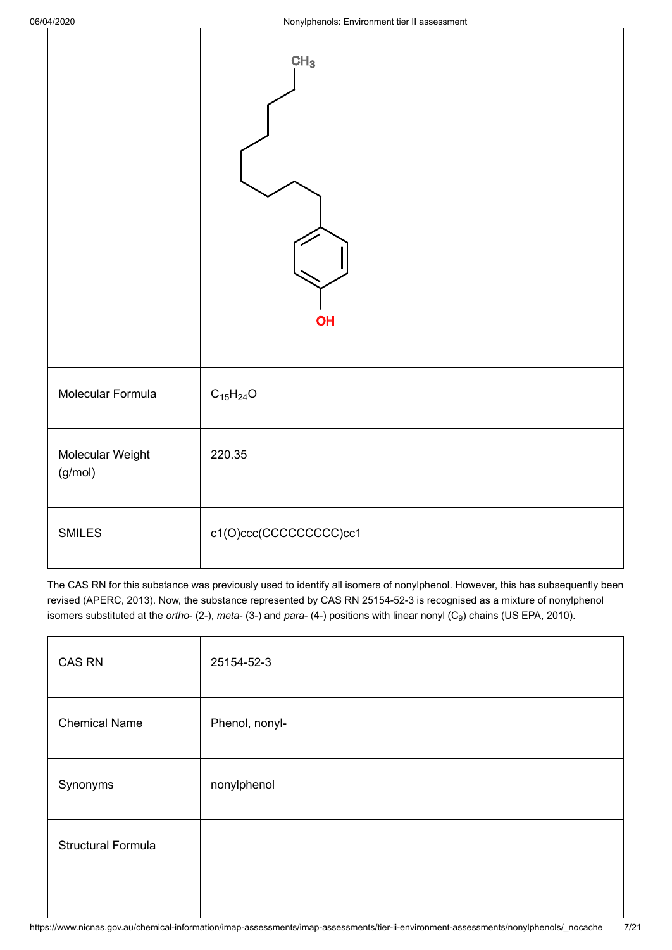$\mathbf{I}$ 

|                             | CH <sub>3</sub><br>OH   |
|-----------------------------|-------------------------|
| Molecular Formula           | $C_{15}H_{24}O$         |
| Molecular Weight<br>(g/mol) | 220.35                  |
| <b>SMILES</b>               | c1(O)ccc(CCCCCCCCCC)cc1 |

The CAS RN for this substance was previously used to identify all isomers of nonylphenol. However, this has subsequently been revised ([APERC, 2013\)](#page-18-3). Now, the substance represented by CAS RN 25154-52-3 is recognised as a mixture of nonylphenol isomers substituted at the *ortho*- (2-), *meta*- (3-) and *para-* (4-) positions with linear nonyl (C<sub>9</sub>) chains [\(US EPA, 2010](#page-20-0)).

| CAS RN                    | 25154-52-3     |
|---------------------------|----------------|
| <b>Chemical Name</b>      | Phenol, nonyl- |
| Synonyms                  | nonylphenol    |
| <b>Structural Formula</b> |                |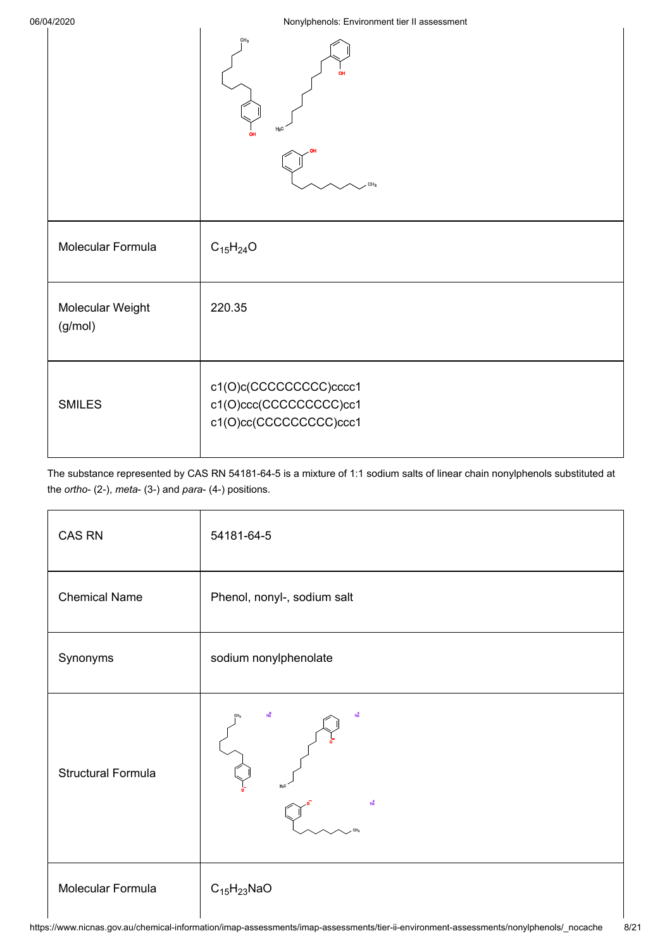|                             | CH <sub>a</sub><br>CH <sub>3</sub>                                            |
|-----------------------------|-------------------------------------------------------------------------------|
| Molecular Formula           | $C_{15}H_{24}O$                                                               |
| Molecular Weight<br>(g/mol) | 220.35                                                                        |
| <b>SMILES</b>               | c1(O)c(CCCCCCCCCC)cccc1<br>c1(O)ccc(CCCCCCCCCC)cc1<br>c1(O)cc(CCCCCCCCCC)ccc1 |

The substance represented by CAS RN 54181-64-5 is a mixture of 1:1 sodium salts of linear chain nonylphenols substituted at the *ortho*- (2-), *meta*- (3-) and *para*- (4-) positions.

| CAS RN                    | 54181-64-5                  |
|---------------------------|-----------------------------|
| <b>Chemical Name</b>      | Phenol, nonyl-, sodium salt |
| Synonyms                  | sodium nonylphenolate       |
| <b>Structural Formula</b> | Nå                          |
| Molecular Formula         | $C_{15}H_{23}NaO$           |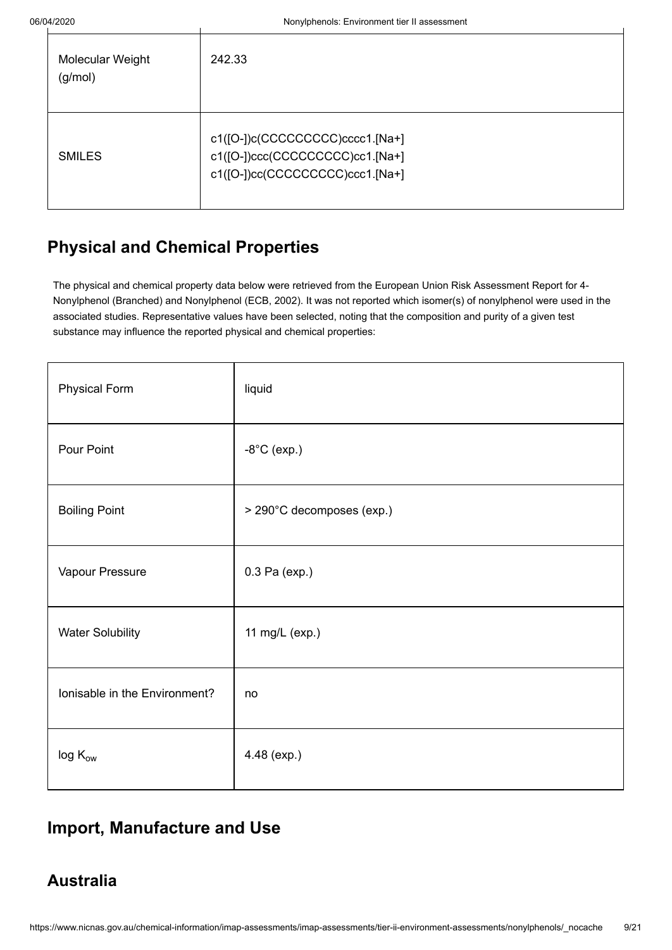| Molecular Weight<br>(g/mol) | 242.33                                                                                                 |
|-----------------------------|--------------------------------------------------------------------------------------------------------|
| <b>SMILES</b>               | c1([O-])c(CCCCCCCCC)cccc1.[Na+]<br>c1([O-])ccc(CCCCCCCCCC)cc1.[Na+]<br>c1([O-])cc(CCCCCCCCC)ccc1.[Na+] |

# <span id="page-8-0"></span>**Physical and Chemical Properties**

The physical and chemical property data below were retrieved from the European Union Risk Assessment Report for 4- Nonylphenol (Branched) and Nonylphenol ([ECB, 2002](#page-18-4)). It was not reported which isomer(s) of nonylphenol were used in the associated studies. Representative values have been selected, noting that the composition and purity of a given test substance may influence the reported physical and chemical properties:

| <b>Physical Form</b>          | liquid                    |
|-------------------------------|---------------------------|
| Pour Point                    | $-8^{\circ}$ C (exp.)     |
| <b>Boiling Point</b>          | > 290°C decomposes (exp.) |
| Vapour Pressure               | 0.3 Pa (exp.)             |
| <b>Water Solubility</b>       | 11 mg/L (exp.)            |
| Ionisable in the Environment? | no                        |
| $\log\mathrm{K_{ow}}$         | 4.48 (exp.)               |

# <span id="page-8-1"></span>**Import, Manufacture and Use**

# **Australia**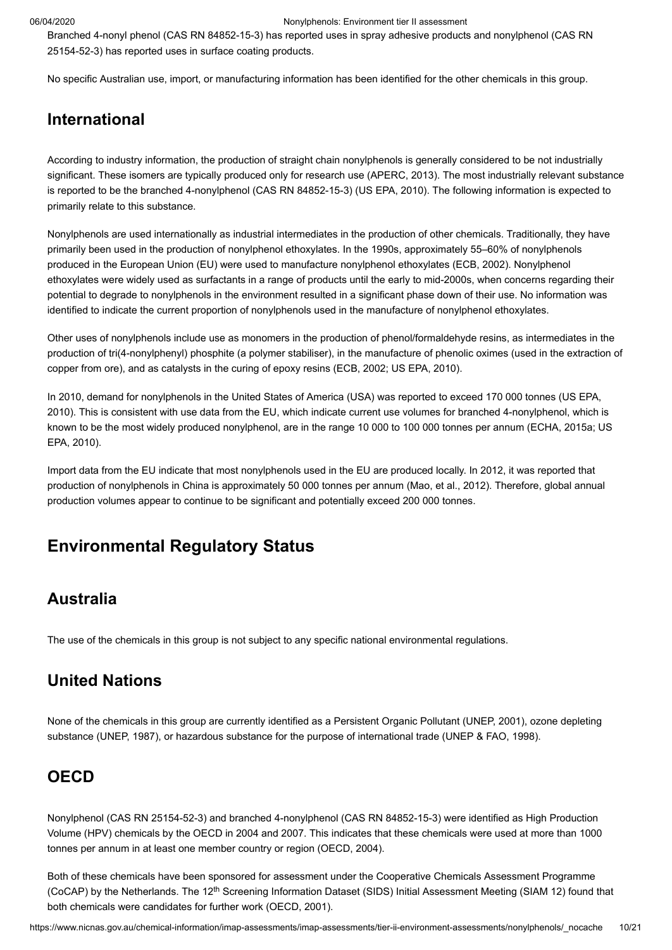Branched 4-nonyl phenol (CAS RN 84852-15-3) has reported uses in spray adhesive products and nonylphenol (CAS RN 25154-52-3) has reported uses in surface coating products.

No specific Australian use, import, or manufacturing information has been identified for the other chemicals in this group.

## **International**

According to industry information, the production of straight chain nonylphenols is generally considered to be not industrially significant. These isomers are typically produced only for research use ([APERC, 2013](#page-18-3)). The most industrially relevant substance is reported to be the branched 4-nonylphenol (CAS RN 84852-15-3) ([US EPA, 2010](#page-20-0)). The following information is expected to primarily relate to this substance.

Nonylphenols are used internationally as industrial intermediates in the production of other chemicals. Traditionally, they have primarily been used in the production of nonylphenol ethoxylates. In the 1990s, approximately 55–60% of nonylphenols produced in the European Union (EU) were used to manufacture nonylphenol ethoxylates ([ECB, 2002](#page-18-4)). Nonylphenol ethoxylates were widely used as surfactants in a range of products until the early to mid-2000s, when concerns regarding their potential to degrade to nonylphenols in the environment resulted in a significant phase down of their use. No information was identified to indicate the current proportion of nonylphenols used in the manufacture of nonylphenol ethoxylates.

Other uses of nonylphenols include use as monomers in the production of phenol/formaldehyde resins, as intermediates in the production of tri(4-nonylphenyl) phosphite (a polymer stabiliser), in the manufacture of phenolic oximes (used in the extraction of copper from ore), and as catalysts in the curing of epoxy resins [\(ECB, 2002;](#page-18-4) [US EPA, 2010](#page-20-0)).

In 2010, demand for nonylphenols in the United States of America (USA) was reported to exceed 170 000 tonnes (US EPA, [2010\). This is consistent with use data from the EU, which indicate current use volumes for branched 4-nonylphenol, which i](#page-20-0)s [known to be the most widely produced nonylphenol, are in the range 10 000 to 100 000 tonnes per annum \(E](#page-20-0)[CHA, 2015](#page-18-5)[a; US](#page-20-0) EPA, 2010).

Import data from the EU indicate that most nonylphenols used in the EU are produced locally. In 2012, it was reported that production of nonylphenols in China is approximately 50 000 tonnes per annum [\(Mao, et al., 2012\)](#page-19-0). Therefore, global annual production volumes appear to continue to be significant and potentially exceed 200 000 tonnes.

# <span id="page-9-0"></span>**Environmental Regulatory Status**

## **Australia**

The use of the chemicals in this group is not subject to any specific national environmental regulations.

## **United Nations**

None of the chemicals in this group are currently identified as a Persistent Organic Pollutant ([UNEP, 2001](#page-20-1)), ozone depleting substance ([UNEP, 1987](#page-20-2)), or hazardous substance for the purpose of international trade ([UNEP & FAO, 1998](#page-20-3)).

## **OECD**

Nonylphenol (CAS RN 25154-52-3) and branched 4-nonylphenol (CAS RN 84852-15-3) were identified as High Production Volume (HPV) chemicals by the OECD in 2004 and 2007. This indicates that these chemicals were used at more than 1000 tonnes per annum in at least one member country or region [\(OECD, 2004](#page-19-1)).

Both of these chemicals have been sponsored for assessment under the Cooperative Chemicals Assessment Programme (CoCAP) by the Netherlands. The 12<sup>th</sup> Screening Information Dataset (SIDS) Initial Assessment Meeting (SIAM 12) found that both chemicals were candidates for further work ([OECD, 2001\)](#page-19-2).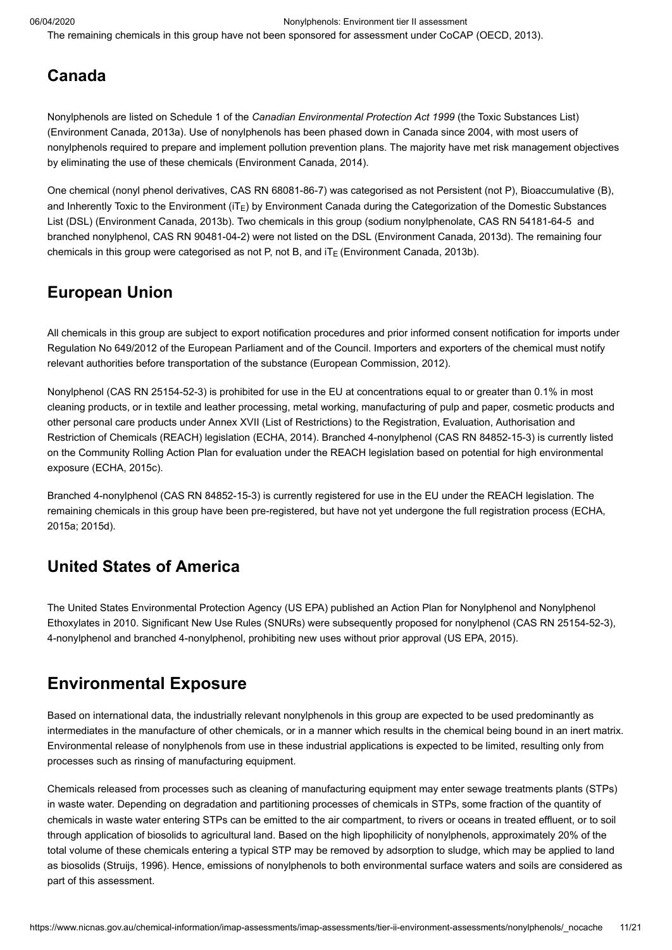The remaining chemicals in this group have not been sponsored for assessment under CoCAP ([OECD, 2013\)](#page-19-3).

## **Canada**

Nonylphenols are listed on Schedule 1 of the *Canadian Environmental Protection Act 1999* (the Toxic Substances List) ([Environment Canada, 2013a\)](#page-18-6). Use of nonylphenols has been phased down in Canada since 2004, with most users of nonylphenols required to prepare and implement pollution prevention plans. The majority have met risk management objectives by eliminating the use of these chemicals ([Environment Canada, 2014](#page-18-7)).

One chemical (nonyl phenol derivatives, CAS RN 68081-86-7) was categorised as not Persistent (not P), Bioaccumulative (B), and Inherently Toxic to the Environment (iT<sub>E</sub>) by Environment Canada during the Categorization of the Domestic Substances List (DSL) ([Environment Canada, 2013b](#page-18-8)). Two chemicals in this group (sodium nonylphenolate, CAS RN 54181-64-5 and branched nonylphenol, CAS RN 90481-04-2) were not listed on the DSL ([Environment Canada, 2013d](#page-18-9)). The remaining four chemicals in this group were categorised as not P, not B, and iT $_{\rm E}$  ([Environment Canada, 2013b](#page-18-8)).

# **European Union**

All chemicals in this group are subject to export notification procedures and prior informed consent notification for imports under Regulation No 649/2012 of the European Parliament and of the Council. Importers and exporters of the chemical must notify relevant authorities before transportation of the substance ([European Commission, 2012\)](#page-19-4).

Nonylphenol (CAS RN 25154-52-3) is prohibited for use in the EU at concentrations equal to or greater than 0.1% in most cleaning products, or in textile and leather processing, metal working, manufacturing of pulp and paper, cosmetic products and other personal care products under Annex XVII (List of Restrictions) to the Registration, Evaluation, Authorisation and Restriction of Chemicals (REACH) legislation [\(ECHA, 2014](#page-18-10)). Branched 4-nonylphenol (CAS RN 84852-15-3) is currently listed on the Community Rolling Action Plan for evaluation under the REACH legislation based on potential for high environmental exposure ([ECHA, 2015c](#page-18-11)).

Branched 4-nonylphenol (CAS RN 84852-15-3) is currently registered for use in the EU under the REACH legislation. The [remaining chemicals in this group have been pre-registered, but have not yet undergone the full registration process \(ECHA,](#page-18-5) 2015a; [2015d](#page-18-12)).

# **United States of America**

The United States Environmental Protection Agency (US EPA) published an Action Plan for Nonylphenol and Nonylphenol Ethoxylates in 2010. Significant New Use Rules (SNURs) were subsequently proposed for nonylphenol (CAS RN 25154-52-3), 4-nonylphenol and branched 4-nonylphenol, prohibiting new uses without prior approval [\(US EPA, 2015\)](#page-20-4).

# <span id="page-10-0"></span>**Environmental Exposure**

Based on international data, the industrially relevant nonylphenols in this group are expected to be used predominantly as intermediates in the manufacture of other chemicals, or in a manner which results in the chemical being bound in an inert matrix. Environmental release of nonylphenols from use in these industrial applications is expected to be limited, resulting only from processes such as rinsing of manufacturing equipment.

Chemicals released from processes such as cleaning of manufacturing equipment may enter sewage treatments plants (STPs) in waste water. Depending on degradation and partitioning processes of chemicals in STPs, some fraction of the quantity of chemicals in waste water entering STPs can be emitted to the air compartment, to rivers or oceans in treated effluent, or to soil through application of biosolids to agricultural land. Based on the high lipophilicity of nonylphenols, approximately 20% of the total volume of these chemicals entering a typical STP may be removed by adsorption to sludge, which may be applied to land as biosolids ([Struijs, 1996\)](#page-19-5). Hence, emissions of nonylphenols to both environmental surface waters and soils are considered as part of this assessment.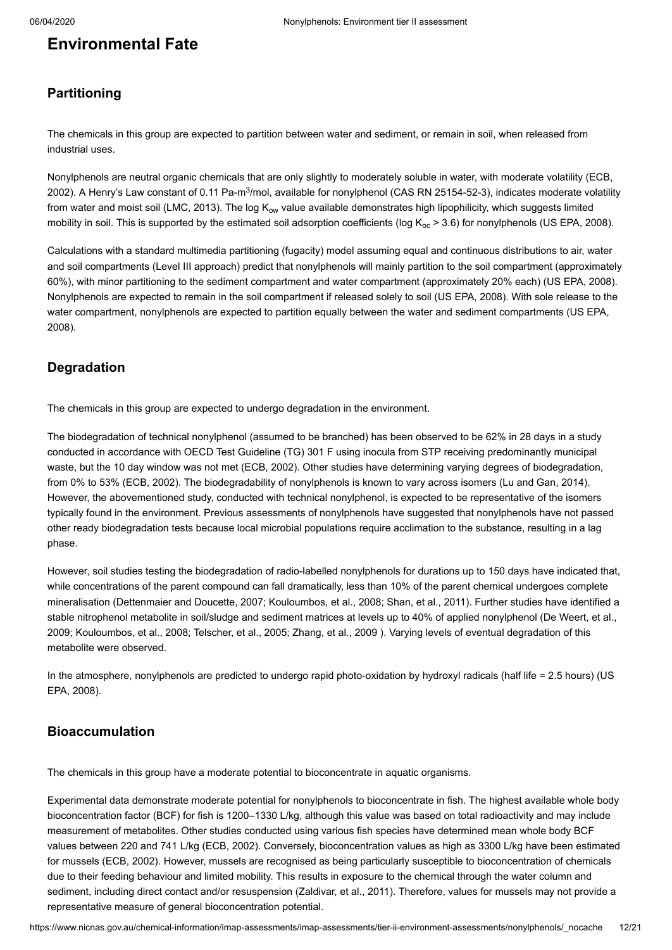## **Environmental Fate**

### **Partitioning**

The chemicals in this group are expected to partition between water and sediment, or remain in soil, when released from industrial uses.

[Nonylphenols are neutral organic chemicals that are only slightly to moderately soluble in water, with moderate volatility \(ECB,](#page-18-4) 2002). A Henry's Law constant of 0.11 Pa-m<sup>3</sup>/mol, available for nonylphenol (CAS RN 25154-52-3), indicates moderate volatility from water and moist soil ([LMC, 2013](#page-19-6)). The log K<sub>ow</sub> value available demonstrates high lipophilicity, which suggests limited mobility in soil. This is supported by the estimated soil adsorption coefficients (log K $_{\rm oc}$  > 3.6) for nonylphenols [\(US EPA, 2008\)](#page-20-5).

Calculations with a standard multimedia partitioning (fugacity) model assuming equal and continuous distributions to air, water and soil compartments (Level III approach) predict that nonylphenols will mainly partition to the soil compartment (approximately 60%), with minor partitioning to the sediment compartment and water compartment (approximately 20% each) ([US EPA, 2008\)](#page-20-5). Nonylphenols are expected to remain in the soil compartment if released solely to soil ([US EPA, 2008](#page-20-5)). With sole release to the [water compartment, nonylphenols are expected to partition equally between the water and sediment compartments \(US EPA,](#page-20-5) 2008).

### **Degradation**

The chemicals in this group are expected to undergo degradation in the environment.

The biodegradation of technical nonylphenol (assumed to be branched) has been observed to be 62% in 28 days in a study conducted in accordance with OECD Test Guideline (TG) 301 F using inocula from STP receiving predominantly municipal waste, but the 10 day window was not met ([ECB, 2002](#page-18-4)). Other studies have determining varying degrees of biodegradation, from 0% to 53% ([ECB, 2002](#page-18-4)). The biodegradability of nonylphenols is known to vary across isomers ([Lu and Gan, 2014\)](#page-19-7). However, the abovementioned study, conducted with technical nonylphenol, is expected to be representative of the isomers typically found in the environment. Previous assessments of nonylphenols have suggested that nonylphenols have not passed other ready biodegradation tests because local microbial populations require acclimation to the substance, resulting in a lag phase.

However, soil studies testing the biodegradation of radio-labelled nonylphenols for durations up to 150 days have indicated that, while concentrations of the parent compound can fall dramatically, less than 10% of the parent chemical undergoes complete mineralisation [\(Dettenmaier and Doucette, 2007](#page-18-13); [Kouloumbos, et al., 2008;](#page-19-8) [Shan, et al., 2011\)](#page-19-9). Further studies have identified a [stable nitrophenol metabolite in soil/sludge and sediment matrices at levels up to 40% of applied nonylphenol \(De Weert, et al.,](#page-18-14) 2009; [Kouloumbos, et al., 2008;](#page-19-8) [Telscher, et al., 2005](#page-20-6); [Zhang, et al., 2009 \)](#page-20-7). Varying levels of eventual degradation of this metabolite were observed.

[In the atmosphere, nonylphenols are predicted to undergo rapid photo-oxidation by hydroxyl radicals \(half life = 2.5 hours\) \(US](#page-20-5) EPA, 2008).

### **Bioaccumulation**

The chemicals in this group have a moderate potential to bioconcentrate in aquatic organisms.

Experimental data demonstrate moderate potential for nonylphenols to bioconcentrate in fish. The highest available whole body bioconcentration factor (BCF) for fish is 1200–1330 L/kg, although this value was based on total radioactivity and may include measurement of metabolites. Other studies conducted using various fish species have determined mean whole body BCF values between 220 and 741 L/kg [\(ECB, 2002\)](#page-18-4). Conversely, bioconcentration values as high as 3300 L/kg have been estimated for mussels ([ECB, 2002](#page-18-4)). However, mussels are recognised as being particularly susceptible to bioconcentration of chemicals due to their feeding behaviour and limited mobility. This results in exposure to the chemical through the water column and sediment, including direct contact and/or resuspension ([Zaldivar, et al., 2011](#page-20-8)). Therefore, values for mussels may not provide a representative measure of general bioconcentration potential.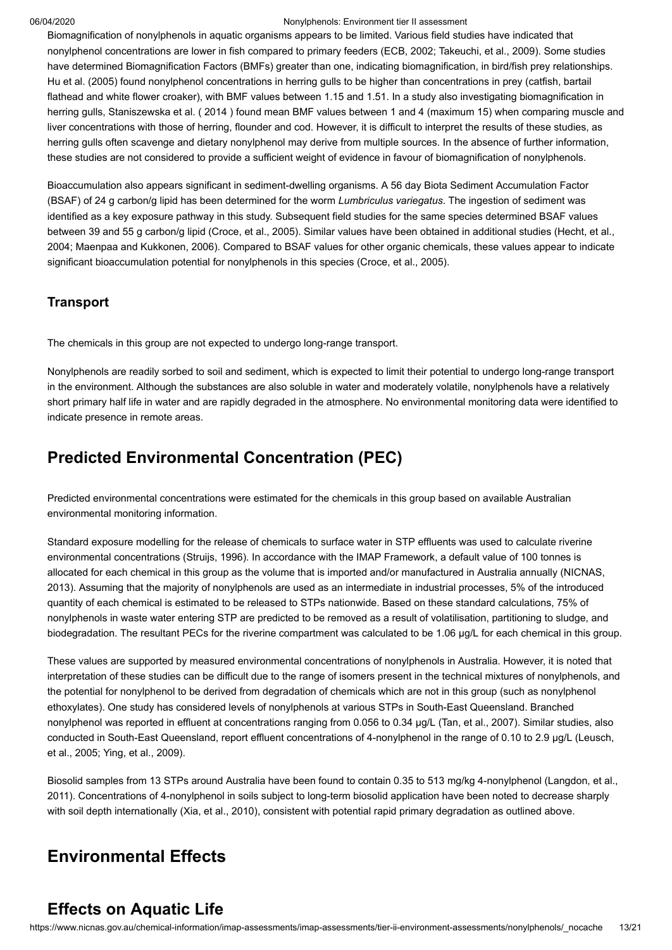Biomagnification of nonylphenols in aquatic organisms appears to be limited. Various field studies have indicated that nonylphenol concentrations are lower in fish compared to primary feeders ([ECB, 2002;](#page-18-4) [Takeuchi, et al., 2009\)](#page-19-10). Some studies have determined Biomagnification Factors (BMFs) greater than one, indicating biomagnification, in bird/fish prey relationships. Hu et al. ([2005](#page-19-11)) found nonylphenol concentrations in herring gulls to be higher than concentrations in prey (catfish, bartail flathead and white flower croaker), with BMF values between 1.15 and 1.51. In a study also investigating biomagnification in herring gulls, Staniszewska et al. ( [2014](#page-19-12) ) found mean BMF values between 1 and 4 (maximum 15) when comparing muscle and liver concentrations with those of herring, flounder and cod. However, it is difficult to interpret the results of these studies, as herring gulls often scavenge and dietary nonylphenol may derive from multiple sources. In the absence of further information, these studies are not considered to provide a sufficient weight of evidence in favour of biomagnification of nonylphenols.

Bioaccumulation also appears significant in sediment-dwelling organisms. A 56 day Biota Sediment Accumulation Factor (BSAF) of 24 g carbon/g lipid has been determined for the worm *Lumbriculus variegatus*. The ingestion of sediment was identified as a key exposure pathway in this study. Subsequent field studies for the same species determined BSAF values [between 39 and 55 g carbon/g lipid \(C](#page-19-13)[roce, et al., 200](#page-18-15)[5\). Similar values have been obtained in additional studies \(Hecht, et al.,](#page-19-13) 2004; [Maenpaa and Kukkonen, 2006\)](#page-19-14). Compared to BSAF values for other organic chemicals, these values appear to indicate significant bioaccumulation potential for nonylphenols in this species ([Croce, et al., 2005\)](#page-18-15).

### **Transport**

The chemicals in this group are not expected to undergo long-range transport.

Nonylphenols are readily sorbed to soil and sediment, which is expected to limit their potential to undergo long-range transport in the environment. Although the substances are also soluble in water and moderately volatile, nonylphenols have a relatively short primary half life in water and are rapidly degraded in the atmosphere. No environmental monitoring data were identified to indicate presence in remote areas.

# **Predicted Environmental Concentration (PEC)**

Predicted environmental concentrations were estimated for the chemicals in this group based on available Australian environmental monitoring information.

Standard exposure modelling for the release of chemicals to surface water in STP effluents was used to calculate riverine environmental concentrations [\(Struijs, 1996](#page-19-5)). In accordance with the IMAP Framework, a default value of 100 tonnes is [allocated for each chemical in this group as the volume that is imported and/or manufactured in Australia annually \(NICNAS,](#page-19-15) 2013). Assuming that the majority of nonylphenols are used as an intermediate in industrial processes, 5% of the introduced quantity of each chemical is estimated to be released to STPs nationwide. Based on these standard calculations, 75% of nonylphenols in waste water entering STP are predicted to be removed as a result of volatilisation, partitioning to sludge, and biodegradation. The resultant PECs for the riverine compartment was calculated to be 1.06 µg/L for each chemical in this group.

These values are supported by measured environmental concentrations of nonylphenols in Australia. However, it is noted that interpretation of these studies can be difficult due to the range of isomers present in the technical mixtures of nonylphenols, and the potential for nonylphenol to be derived from degradation of chemicals which are not in this group (such as nonylphenol ethoxylates). One study has considered levels of nonylphenols at various STPs in South-East Queensland. Branched nonylphenol was reported in effluent at concentrations ranging from 0.056 to 0.34 µg/L ([Tan, et al., 2007](#page-20-9)). Similar studies, also [conducted in South-East Queensland, report effluent concentrations of 4-nonylphenol in the range of 0.10 to 2.9 µg/L \(Leusch,](#page-19-16) et al., 2005; [Ying, et al., 2009\)](#page-20-10).

[Biosolid samples from 13 STPs around Australia have been found to contain 0.35 to 513 mg/kg 4-nonylphenol \(Langdon, et al.,](#page-19-17) 2011). Concentrations of 4-nonylphenol in soils subject to long-term biosolid application have been noted to decrease sharply with soil depth internationally ([Xia, et al., 2010](#page-20-11)), consistent with potential rapid primary degradation as outlined above.

# <span id="page-12-0"></span>**Environmental Effects**

## **Effects on Aquatic Life**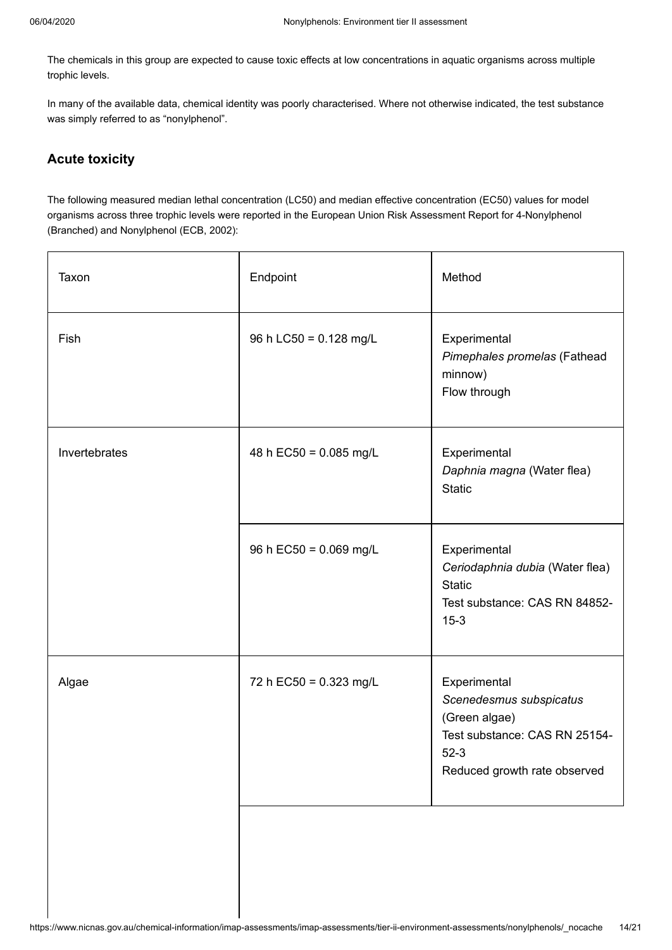The chemicals in this group are expected to cause toxic effects at low concentrations in aquatic organisms across multiple trophic levels.

In many of the available data, chemical identity was poorly characterised. Where not otherwise indicated, the test substance was simply referred to as "nonylphenol".

### **Acute toxicity**

The following measured median lethal concentration (LC50) and median effective concentration (EC50) values for model organisms across three trophic levels were reported in the European Union Risk Assessment Report for 4-Nonylphenol (Branched) and Nonylphenol [\(ECB, 2002\)](#page-18-4):

| Taxon         | Endpoint               | Method                                                                                                                              |
|---------------|------------------------|-------------------------------------------------------------------------------------------------------------------------------------|
| Fish          | 96 h LC50 = 0.128 mg/L | Experimental<br>Pimephales promelas (Fathead<br>minnow)<br>Flow through                                                             |
| Invertebrates | 48 h EC50 = 0.085 mg/L | Experimental<br>Daphnia magna (Water flea)<br><b>Static</b>                                                                         |
|               | 96 h EC50 = 0.069 mg/L | Experimental<br>Ceriodaphnia dubia (Water flea)<br><b>Static</b><br>Test substance: CAS RN 84852-<br>$15 - 3$                       |
| Algae         | 72 h EC50 = 0.323 mg/L | Experimental<br>Scenedesmus subspicatus<br>(Green algae)<br>Test substance: CAS RN 25154-<br>$52-3$<br>Reduced growth rate observed |
|               |                        |                                                                                                                                     |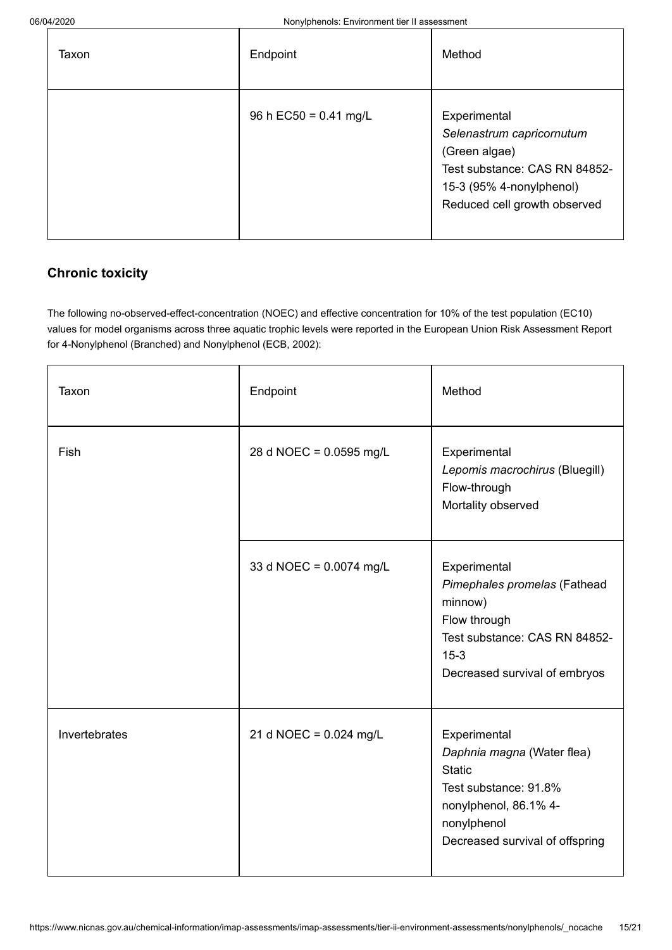| Taxon | Endpoint                | Method                                                                                                                                                  |
|-------|-------------------------|---------------------------------------------------------------------------------------------------------------------------------------------------------|
|       | 96 h $EC50 = 0.41$ mg/L | Experimental<br>Selenastrum capricornutum<br>(Green algae)<br>Test substance: CAS RN 84852-<br>15-3 (95% 4-nonylphenol)<br>Reduced cell growth observed |

## **Chronic toxicity**

The following no-observed-effect-concentration (NOEC) and effective concentration for 10% of the test population (EC10) values for model organisms across three aquatic trophic levels were reported in the European Union Risk Assessment Report for 4-Nonylphenol (Branched) and Nonylphenol ([ECB, 2002](#page-18-4)):

| Taxon         | Endpoint                 | Method                                                                                                                                                          |
|---------------|--------------------------|-----------------------------------------------------------------------------------------------------------------------------------------------------------------|
| Fish          | 28 d NOEC = 0.0595 mg/L  | Experimental<br>Lepomis macrochirus (Bluegill)<br>Flow-through<br>Mortality observed                                                                            |
|               | 33 d NOEC = 0.0074 mg/L  | Experimental<br>Pimephales promelas (Fathead<br>minnow)<br>Flow through<br>Test substance: CAS RN 84852-<br>$15 - 3$<br>Decreased survival of embryos           |
| Invertebrates | 21 d NOEC = $0.024$ mg/L | Experimental<br>Daphnia magna (Water flea)<br><b>Static</b><br>Test substance: 91.8%<br>nonylphenol, 86.1% 4-<br>nonylphenol<br>Decreased survival of offspring |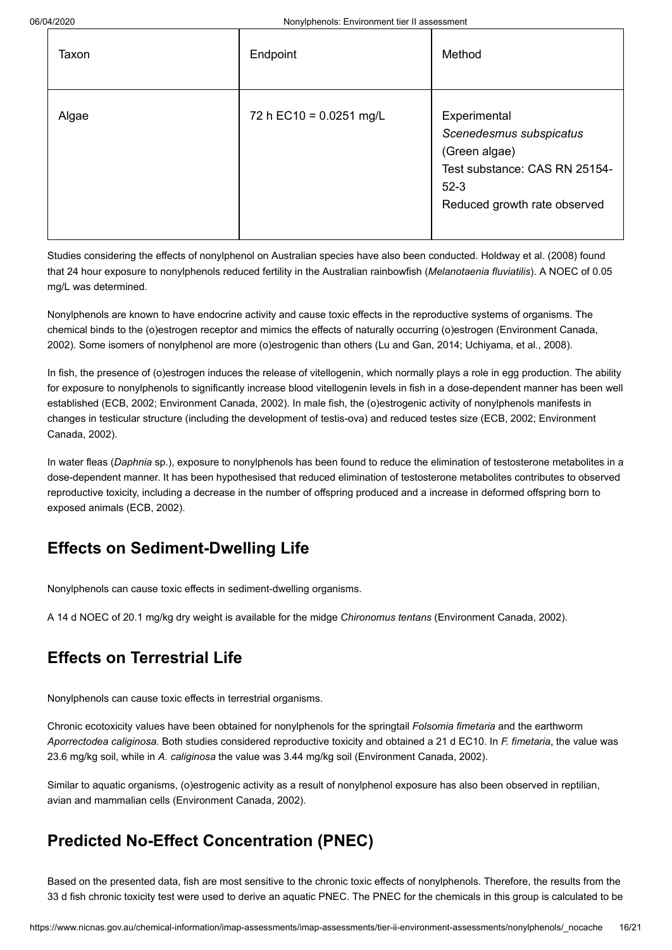| Taxon | Endpoint                | Method                                                                                                                              |
|-------|-------------------------|-------------------------------------------------------------------------------------------------------------------------------------|
| Algae | 72 h EC10 = 0.0251 mg/L | Experimental<br>Scenedesmus subspicatus<br>(Green algae)<br>Test substance: CAS RN 25154-<br>$52-3$<br>Reduced growth rate observed |

Studies considering the effects of nonylphenol on Australian species have also been conducted. Holdway et al. [\(2008\)](#page-19-18) found that 24 hour exposure to nonylphenols reduced fertility in the Australian rainbowfish (*Melanotaenia fluviatilis*). A NOEC of 0.05 mg/L was determined.

Nonylphenols are known to have endocrine activity and cause toxic effects in the reproductive systems of organisms. The [chemical binds to the \(o\)estrogen receptor and mimics the effects of naturally occurring \(o\)estrogen \(Environment Canada,](#page-18-16) 2002). Some isomers of nonylphenol are more (o)estrogenic than others [\(Lu and Gan, 2014](#page-19-7); [Uchiyama, et al., 2008\)](#page-20-12).

In fish, the presence of (o)estrogen induces the release of vitellogenin, which normally plays a role in egg production. The ability for exposure to nonylphenols to significantly increase blood vitellogenin levels in fish in a dose-dependent manner has been well established [\(ECB, 2002;](#page-18-4) [Environment Canada, 2002](#page-18-16)). In male fish, the (o)estrogenic activity of nonylphenols manifests in [changes in testicular structure \(including the development of testis-ova\) and reduced testes size \(E](#page-18-16)[CB, 2002](#page-18-4)[; Environment](#page-18-16) Canada, 2002).

In water fleas (*Daphnia* sp.), exposure to nonylphenols has been found to reduce the elimination of testosterone metabolites in a dose-dependent manner. It has been hypothesised that reduced elimination of testosterone metabolites contributes to observed reproductive toxicity, including a decrease in the number of offspring produced and a increase in deformed offspring born to exposed animals [\(ECB, 2002](#page-18-4)).

# **Effects on Sediment-Dwelling Life**

Nonylphenols can cause toxic effects in sediment-dwelling organisms.

A 14 d NOEC of 20.1 mg/kg dry weight is available for the midge *Chironomus tentans* ([Environment Canada, 2002](#page-18-16)).

# **Effects on Terrestrial Life**

Nonylphenols can cause toxic effects in terrestrial organisms.

Chronic ecotoxicity values have been obtained for nonylphenols for the springtail *Folsomia fimetaria* and the earthworm *Aporrectodea caliginosa*. Both studies considered reproductive toxicity and obtained a 21 d EC10. In *F. fimetaria*, the value was 23.6 mg/kg soil, while in *A. caliginosa* the value was 3.44 mg/kg soil [\(Environment Canada, 2002\)](#page-18-16).

Similar to aquatic organisms, (o)estrogenic activity as a result of nonylphenol exposure has also been observed in reptilian, avian and mammalian cells [\(Environment Canada, 2002\)](#page-18-16).

# **Predicted No-Effect Concentration (PNEC)**

Based on the presented data, fish are most sensitive to the chronic toxic effects of nonylphenols. Therefore, the results from the 33 d fish chronic toxicity test were used to derive an aquatic PNEC. The PNEC for the chemicals in this group is calculated to be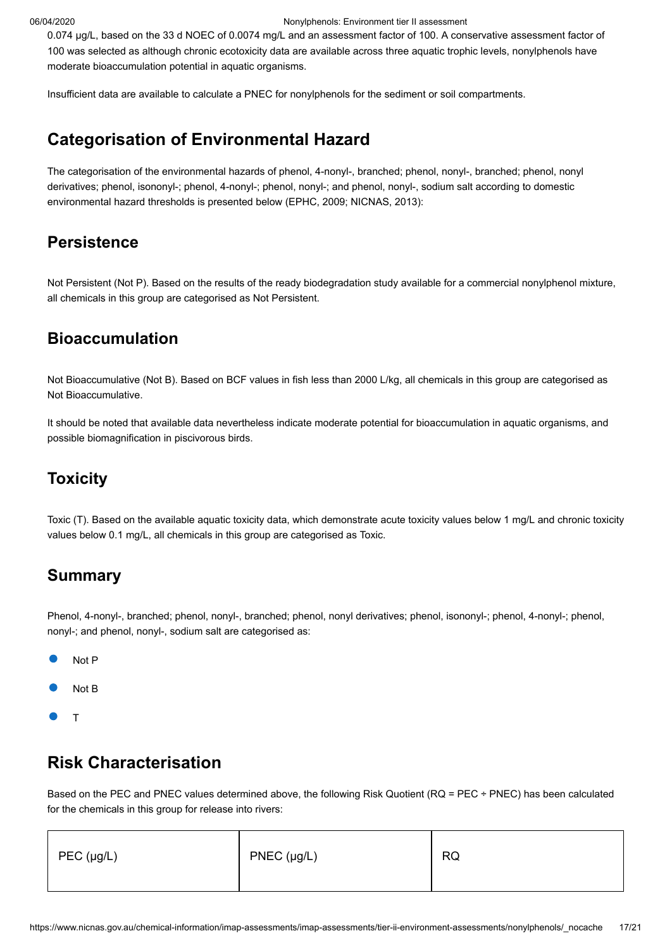0.074 µg/L, based on the 33 d NOEC of 0.0074 mg/L and an assessment factor of 100. A conservative assessment factor of 100 was selected as although chronic ecotoxicity data are available across three aquatic trophic levels, nonylphenols have moderate bioaccumulation potential in aquatic organisms.

Insufficient data are available to calculate a PNEC for nonylphenols for the sediment or soil compartments.

## <span id="page-16-0"></span>**Categorisation of Environmental Hazard**

The categorisation of the environmental hazards of phenol, 4-nonyl-, branched; phenol, nonyl-, branched; phenol, nonyl derivatives; phenol, isononyl-; phenol, 4-nonyl-; phenol, nonyl-; and phenol, nonyl-, sodium salt according to domestic environmental hazard thresholds is presented below ([EPHC, 2009;](#page-18-17) [NICNAS, 2013\)](#page-19-15):

### **Persistence**

Not Persistent (Not P). Based on the results of the ready biodegradation study available for a commercial nonylphenol mixture, all chemicals in this group are categorised as Not Persistent.

## **Bioaccumulation**

Not Bioaccumulative (Not B). Based on BCF values in fish less than 2000 L/kg, all chemicals in this group are categorised as Not Bioaccumulative.

It should be noted that available data nevertheless indicate moderate potential for bioaccumulation in aquatic organisms, and possible biomagnification in piscivorous birds.

## **Toxicity**

Toxic (T). Based on the available aquatic toxicity data, which demonstrate acute toxicity values below 1 mg/L and chronic toxicity values below 0.1 mg/L, all chemicals in this group are categorised as Toxic.

## **Summary**

Phenol, 4-nonyl-, branched; phenol, nonyl-, branched; phenol, nonyl derivatives; phenol, isononyl-; phenol, 4-nonyl-; phenol, nonyl-; and phenol, nonyl-, sodium salt are categorised as:

- Not P
- Not B
- T

## <span id="page-16-1"></span>**Risk Characterisation**

Based on the PEC and PNEC values determined above, the following Risk Quotient (RQ = PEC ÷ PNEC) has been calculated for the chemicals in this group for release into rivers:

| $PEC$ (µg/L) | $PNEC$ (µg/L) | <b>RQ</b> |
|--------------|---------------|-----------|
|--------------|---------------|-----------|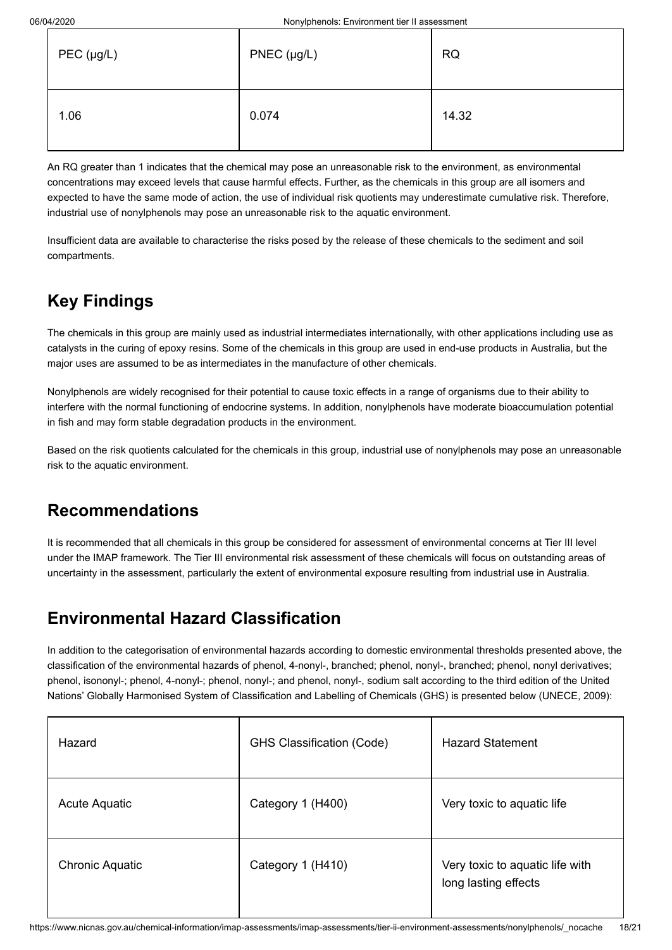| $PEC$ (µg/L) | $PNEC$ (µg/L) | <b>RQ</b> |
|--------------|---------------|-----------|
| 1.06         | 0.074         | 14.32     |

An RQ greater than 1 indicates that the chemical may pose an unreasonable risk to the environment, as environmental concentrations may exceed levels that cause harmful effects. Further, as the chemicals in this group are all isomers and expected to have the same mode of action, the use of individual risk quotients may underestimate cumulative risk. Therefore, industrial use of nonylphenols may pose an unreasonable risk to the aquatic environment.

Insufficient data are available to characterise the risks posed by the release of these chemicals to the sediment and soil compartments.

# <span id="page-17-0"></span>**Key Findings**

The chemicals in this group are mainly used as industrial intermediates internationally, with other applications including use as catalysts in the curing of epoxy resins. Some of the chemicals in this group are used in end-use products in Australia, but the major uses are assumed to be as intermediates in the manufacture of other chemicals.

Nonylphenols are widely recognised for their potential to cause toxic effects in a range of organisms due to their ability to interfere with the normal functioning of endocrine systems. In addition, nonylphenols have moderate bioaccumulation potential in fish and may form stable degradation products in the environment.

Based on the risk quotients calculated for the chemicals in this group, industrial use of nonylphenols may pose an unreasonable risk to the aquatic environment.

# <span id="page-17-1"></span>**Recommendations**

It is recommended that all chemicals in this group be considered for assessment of environmental concerns at Tier III level under the IMAP framework. The Tier III environmental risk assessment of these chemicals will focus on outstanding areas of uncertainty in the assessment, particularly the extent of environmental exposure resulting from industrial use in Australia.

# <span id="page-17-2"></span>**Environmental Hazard Classification**

In addition to the categorisation of environmental hazards according to domestic environmental thresholds presented above, the classification of the environmental hazards of phenol, 4-nonyl-, branched; phenol, nonyl-, branched; phenol, nonyl derivatives; phenol, isononyl-; phenol, 4-nonyl-; phenol, nonyl-; and phenol, nonyl-, sodium salt according to the third edition of the United Nations' Globally Harmonised System of Classification and Labelling of Chemicals (GHS) is presented below [\(UNECE, 2009\)](#page-20-13):

| Hazard                 | <b>GHS Classification (Code)</b> | <b>Hazard Statement</b>                                 |
|------------------------|----------------------------------|---------------------------------------------------------|
| Acute Aquatic          | Category 1 (H400)                | Very toxic to aquatic life                              |
| <b>Chronic Aquatic</b> | Category 1 (H410)                | Very toxic to aquatic life with<br>long lasting effects |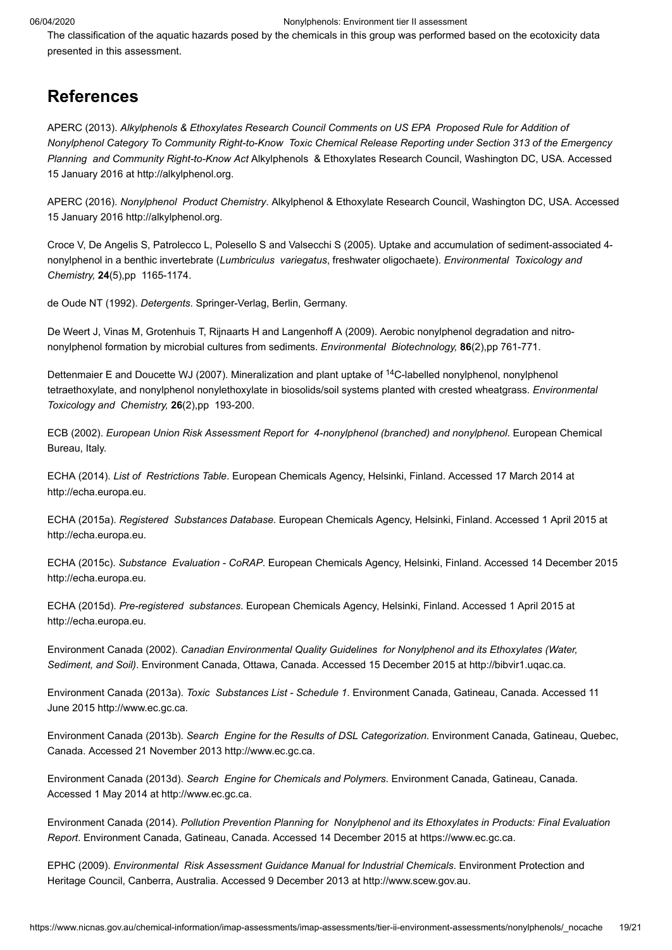The classification of the aquatic hazards posed by the chemicals in this group was performed based on the ecotoxicity data presented in this assessment.

### <span id="page-18-0"></span>**References**

<span id="page-18-3"></span>APERC (2013). *Alkylphenols & Ethoxylates Research Council Comments on US EPA Proposed Rule for Addition of Nonylphenol Category To Community Right-to-Know Toxic Chemical Release Reporting under Section 313 of the Emergency Planning and Community Right-to-Know Act* Alkylphenols & Ethoxylates Research Council, Washington DC, USA. Accessed 15 January 2016 at [http://alkylphenol.org.](http://alkylphenol.org/PDF/APERC%20Comments%20on%20Proposed%20Addition%20of%20NP%20to%20TRI%20_EPA-HQ-TRI-2012-0110%20%2808%2019%202013%29.pdf)

<span id="page-18-2"></span>APERC (2016). *Nonylphenol Product Chemistry*. Alkylphenol & Ethoxylate Research Council, Washington DC, USA. Accessed 15 January 2016 [http://alkylphenol.org](http://alkylphenol.org/Alkylphenol_Product_Chemistry.php).

<span id="page-18-15"></span>Croce V, De Angelis S, Patrolecco L, Polesello S and Valsecchi S (2005). Uptake and accumulation of sediment-associated 4 nonylphenol in a benthic invertebrate (*Lumbriculus variegatus*, freshwater oligochaete). *Environmental Toxicology and Chemistry,* **24**(5),pp 1165-1174.

<span id="page-18-1"></span>de Oude NT (1992). *Detergents*. Springer-Verlag, Berlin, Germany.

<span id="page-18-14"></span>De Weert J, Vinas M, Grotenhuis T, Rijnaarts H and Langenhoff A (2009). Aerobic nonylphenol degradation and nitrononylphenol formation by microbial cultures from sediments. *Environmental Biotechnology,* **86**(2),pp 761-771.

<span id="page-18-13"></span>Dettenmaier E and Doucette WJ (2007). Mineralization and plant uptake of <sup>14</sup>C-labelled nonylphenol, nonylphenol tetraethoxylate, and nonylphenol nonylethoxylate in biosolids/soil systems planted with crested wheatgrass. *Environmental Toxicology and Chemistry,* **26**(2),pp 193-200.

<span id="page-18-4"></span>ECB (2002). *European Union Risk Assessment Report for 4-nonylphenol (branched) and nonylphenol*. European Chemical Bureau, Italy.

<span id="page-18-10"></span>ECHA (2014). *List of Restrictions Table*. European Chemicals Agency, Helsinki, Finland. Accessed 17 March 2014 at [http://echa.europa.eu](http://echa.europa.eu/addressing-chemicals-of-concern/restrictions/list-of-restrictions/list-of-restrictions-table).

<span id="page-18-5"></span>ECHA (2015a). *Registered Substances Database*. European Chemicals Agency, Helsinki, Finland. Accessed 1 April 2015 at [http://echa.europa.eu](http://echa.europa.eu/information-on-chemicals/registered-substances).

<span id="page-18-11"></span>ECHA (2015c). *Substance Evaluation - CoRAP*. European Chemicals Agency, Helsinki, Finland. Accessed 14 December 2015 [http://echa.europa.eu](http://echa.europa.eu/information-on-chemicals/evaluation/community-rolling-action-plan/corap-table/-/substance-rev/3153/term?_viewsubstances_WAR_echarevsubstanceportlet_SEARCH_CRITERIA_NAME=4-Nonylphenol&_viewsubstances_WAR_echarevsubstanceportlet_SEARCH_CRITERIA_CAS_NUMBER=84852-15-3).

<span id="page-18-12"></span>ECHA (2015d). *Pre-registered substances*. European Chemicals Agency, Helsinki, Finland. Accessed 1 April 2015 at [http://echa.europa.eu](http://echa.europa.eu/web/guest/information-on-chemicals/pre-registered-substances).

<span id="page-18-16"></span>Environment Canada (2002). *Canadian Environmental Quality Guidelines for Nonylphenol and its Ethoxylates (Water, Sediment, and Soil)*. Environment Canada, Ottawa, Canada. Accessed 15 December 2015 at [http://bibvir1.uqac.ca.](http://bibvir1.uqac.ca/archivage/000189272.pdf)

<span id="page-18-6"></span>Environment Canada (2013a). *Toxic Substances List - Schedule 1*. Environment Canada, Gatineau, Canada. Accessed 11 June 2015 [http://www.ec.gc.ca](http://www.ec.gc.ca/lcpe-cepa/default.asp?lang=En&n=0DA2924D-1&wsdoc=4ABEFFC8-5BEC-B57A-F4BF-11069545E434).

<span id="page-18-8"></span>Environment Canada (2013b). *Search Engine for the Results of DSL Categorization*. Environment Canada, Gatineau, Quebec, Canada. Accessed 21 November 2013 [http://www.ec.gc.ca.](http://www.ec.gc.ca/lcpe-cepa/default.asp?lang=En&n=5F213FA8-1&wsdoc=D031CB30-B31B-D54C-0E46-37E32D526A1F)

<span id="page-18-9"></span>Environment Canada (2013d). *Search Engine for Chemicals and Polymers*. Environment Canada, Gatineau, Canada. Accessed 1 May 2014 at [http://www.ec.gc.ca.](http://www.ec.gc.ca/lcpe-cepa/eng/substance/chemicals_polymers.cfm)

<span id="page-18-7"></span>Environment Canada (2014). *Pollution Prevention Planning for Nonylphenol and its Ethoxylates in Products: Final Evaluation Report*. Environment Canada, Gatineau, Canada. Accessed 14 December 2015 at [https://www.ec.gc.ca.](https://www.ec.gc.ca/planp2-p2plan/default.asp?lang=En&n=54EE64B2)

<span id="page-18-17"></span>EPHC (2009). *Environmental Risk Assessment Guidance Manual for Industrial Chemicals*. Environment Protection and Heritage Council, Canberra, Australia. Accessed 9 December 2013 at [http://www.scew.gov.au.](http://www.scew.gov.au/resource/chemical-risk-assessment-guidance-manuals)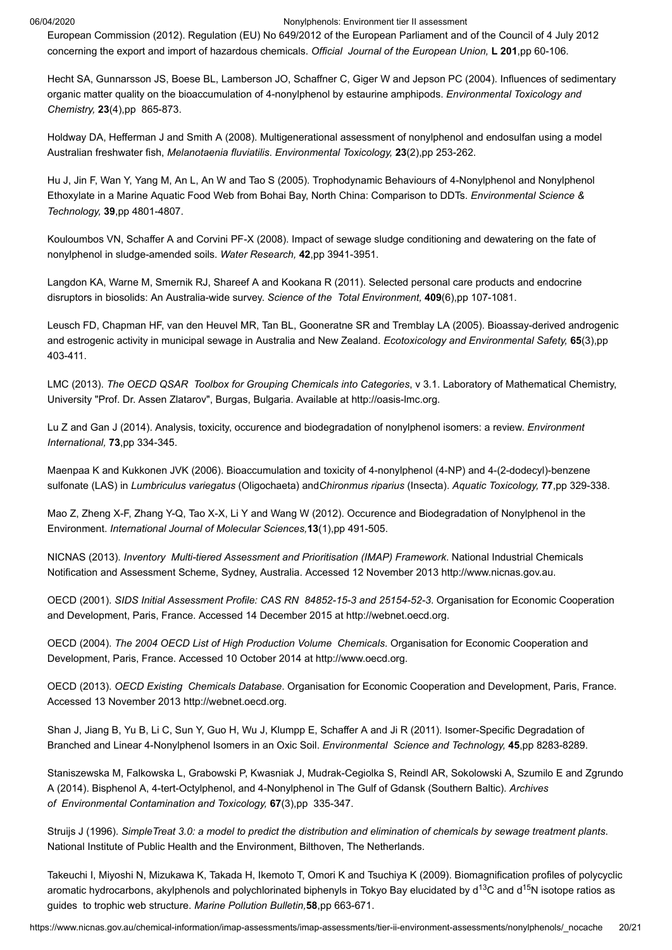<span id="page-19-4"></span>European Commission (2012). Regulation (EU) No 649/2012 of the European Parliament and of the Council of 4 July 2012 concerning the export and import of hazardous chemicals. *Official Journal of the European Union,* **L 201**,pp 60-106.

<span id="page-19-13"></span>Hecht SA, Gunnarsson JS, Boese BL, Lamberson JO, Schaffner C, Giger W and Jepson PC (2004). Influences of sedimentary organic matter quality on the bioaccumulation of 4-nonylphenol by estaurine amphipods. *Environmental Toxicology and Chemistry,* **23**(4),pp 865-873.

<span id="page-19-18"></span>Holdway DA, Hefferman J and Smith A (2008). Multigenerational assessment of nonylphenol and endosulfan using a model Australian freshwater fish, *Melanotaenia fluviatilis*. *Environmental Toxicology,* **23**(2),pp 253-262.

<span id="page-19-11"></span>Hu J, Jin F, Wan Y, Yang M, An L, An W and Tao S (2005). Trophodynamic Behaviours of 4-Nonylphenol and Nonylphenol Ethoxylate in a Marine Aquatic Food Web from Bohai Bay, North China: Comparison to DDTs. *Environmental Science & Technology,* **39**,pp 4801-4807.

<span id="page-19-8"></span>Kouloumbos VN, Schaffer A and Corvini PF-X (2008). Impact of sewage sludge conditioning and dewatering on the fate of nonylphenol in sludge-amended soils. *Water Research,* **42**,pp 3941-3951.

<span id="page-19-17"></span>Langdon KA, Warne M, Smernik RJ, Shareef A and Kookana R (2011). Selected personal care products and endocrine disruptors in biosolids: An Australia-wide survey. *Science of the Total Environment,* **409**(6),pp 107-1081.

<span id="page-19-16"></span>Leusch FD, Chapman HF, van den Heuvel MR, Tan BL, Gooneratne SR and Tremblay LA (2005). Bioassay-derived androgenic and estrogenic activity in municipal sewage in Australia and New Zealand. *Ecotoxicology and Environmental Safety,* **65**(3),pp 403-411.

<span id="page-19-6"></span>LMC (2013). *The OECD QSAR Toolbox for Grouping Chemicals into Categories*, v 3.1. Laboratory of Mathematical Chemistry, University "Prof. Dr. Assen Zlatarov", Burgas, Bulgaria. Available at [http://oasis-lmc.org](http://oasis-lmc.org/).

<span id="page-19-7"></span>Lu Z and Gan J (2014). Analysis, toxicity, occurence and biodegradation of nonylphenol isomers: a review. *Environment International,* **73**,pp 334-345.

<span id="page-19-14"></span>Maenpaa K and Kukkonen JVK (2006). Bioaccumulation and toxicity of 4-nonylphenol (4-NP) and 4-(2-dodecyl)-benzene sulfonate (LAS) in *Lumbriculus variegatus* (Oligochaeta) and*Chironmus riparius* (Insecta). *Aquatic Toxicology,* **77**,pp 329-338.

<span id="page-19-0"></span>Mao Z, Zheng X-F, Zhang Y-Q, Tao X-X, Li Y and Wang W (2012). Occurence and Biodegradation of Nonylphenol in the Environment. *International Journal of Molecular Sciences,***13**(1),pp 491-505.

<span id="page-19-15"></span>NICNAS (2013). *Inventory Multi-tiered Assessment and Prioritisation (IMAP) Framework*. National Industrial Chemicals Notification and Assessment Scheme, Sydney, Australia. Accessed 12 November 2013 [http://www.nicnas.gov.au](http://www.nicnas.gov.au/chemical-information/imap-assessments).

<span id="page-19-2"></span>OECD (2001). *SIDS Initial Assessment Profile: CAS RN 84852-15-3 and 25154-52-3*. Organisation for Economic Cooperation and Development, Paris, France. Accessed 14 December 2015 at [http://webnet.oecd.org.](http://webnet.oecd.org/HPV/UI/handler.axd?id=43c1e282-ab0e-4cc7-9b96-8aef319efbce)

<span id="page-19-1"></span>OECD (2004). *The 2004 OECD List of High Production Volume Chemicals*. Organisation for Economic Cooperation and Development, Paris, France. Accessed 10 October 2014 at [http://www.oecd.org.](http://www.oecd.org/chemicalsafety/risk-assessment/33883530.pdf)

<span id="page-19-3"></span>OECD (2013). *OECD Existing Chemicals Database*. Organisation for Economic Cooperation and Development, Paris, France. Accessed 13 November 2013 [http://webnet.oecd.org](http://webnet.oecd.org/HPV/UI/SIDS_Details.aspx?key=def4461f-aad7-49f4-8bec-00cdc7244a10&idx=0).

<span id="page-19-9"></span>Shan J, Jiang B, Yu B, Li C, Sun Y, Guo H, Wu J, Klumpp E, Schaffer A and Ji R (2011). Isomer-Specific Degradation of Branched and Linear 4-Nonylphenol Isomers in an Oxic Soil. *Environmental Science and Technology,* **45**,pp 8283-8289.

<span id="page-19-12"></span>Staniszewska M, Falkowska L, Grabowski P, Kwasniak J, Mudrak-Cegiolka S, Reindl AR, Sokolowski A, Szumilo E and Zgrundo A (2014). Bisphenol A, 4-tert-Octylphenol, and 4-Nonylphenol in The Gulf of Gdansk (Southern Baltic). *Archives of Environmental Contamination and Toxicology,* **67**(3),pp 335-347.

<span id="page-19-5"></span>Struijs J (1996). *SimpleTreat 3.0: a model to predict the distribution and elimination of chemicals by sewage treatment plants*. National Institute of Public Health and the Environment, Bilthoven, The Netherlands.

<span id="page-19-10"></span>Takeuchi I, Miyoshi N, Mizukawa K, Takada H, Ikemoto T, Omori K and Tsuchiya K (2009). Biomagnification profiles of polycyclic aromatic hydrocarbons, akylphenols and polychlorinated biphenyls in Tokyo Bay elucidated by d $^{13}$ C and d $^{15}$ N isotope ratios as guides to trophic web structure. *Marine Pollution Bulletin,***58**,pp 663-671.